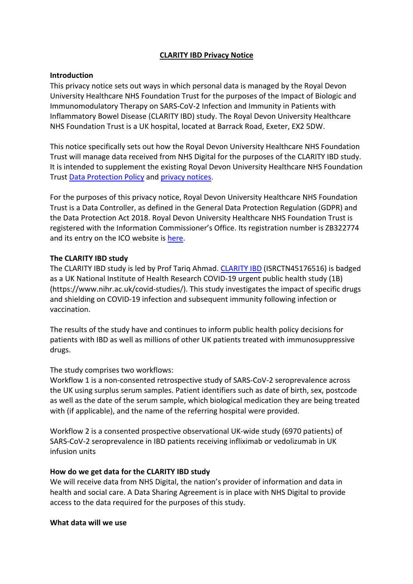# **CLARITY IBD Privacy Notice**

## **Introduction**

This privacy notice sets out ways in which personal data is managed by the Royal Devon University Healthcare NHS Foundation Trust for the purposes of the Impact of Biologic and Immunomodulatory Therapy on SARS-CoV-2 Infection and Immunity in Patients with Inflammatory Bowel Disease (CLARITY IBD) study. The Royal Devon University Healthcare NHS Foundation Trust is a UK hospital, located at Barrack Road, Exeter, EX2 5DW.

This notice specifically sets out how the Royal Devon University Healthcare NHS Foundation Trust will manage data received from NHS Digital for the purposes of the CLARITY IBD study. It is intended to supplement the existing Royal Devon University Healthcare NHS Foundation Trust Data Protection Policy and privacy notices.

For the purposes of this privacy notice, Royal Devon University Healthcare NHS Foundation Trust is a Data Controller, as defined in the General Data Protection Regulation (GDPR) and the Data Protection Act 2018. Royal Devon University Healthcare NHS Foundation Trust is registered with the Information Commissioner's Office. Its registration number is ZB322774 and its entry on the ICO website is here.

# **The CLARITY IBD study**

The CLARITY IBD study is led by Prof Tariq Ahmad. CLARITY IBD (ISRCTN45176516) is badged as a UK National Institute of Health Research COVID-19 urgent public health study (1B) (https://www.nihr.ac.uk/covid-studies/). This study investigates the impact of specific drugs and shielding on COVID-19 infection and subsequent immunity following infection or vaccination.

The results of the study have and continues to inform public health policy decisions for patients with IBD as well as millions of other UK patients treated with immunosuppressive drugs.

# The study comprises two workflows:

Workflow 1 is a non-consented retrospective study of SARS-CoV-2 seroprevalence across the UK using surplus serum samples. Patient identifiers such as date of birth, sex, postcode as well as the date of the serum sample, which biological medication they are being treated with (if applicable), and the name of the referring hospital were provided.

Workflow 2 is a consented prospective observational UK-wide study (6970 patients) of SARS-CoV-2 seroprevalence in IBD patients receiving infliximab or vedolizumab in UK infusion units

## **How do we get data for the CLARITY IBD study**

We will receive data from NHS Digital, the nation's provider of information and data in health and social care. A Data Sharing Agreement is in place with NHS Digital to provide access to the data required for the purposes of this study.

## **What data will we use**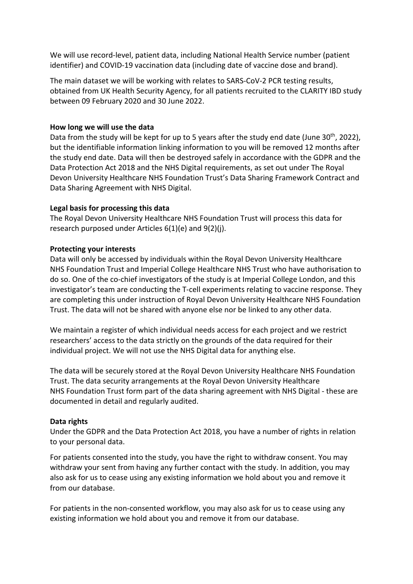We will use record-level, patient data, including National Health Service number (patient identifier) and COVID-19 vaccination data (including date of vaccine dose and brand).

The main dataset we will be working with relates to SARS-CoV-2 PCR testing results, obtained from UK Health Security Agency, for all patients recruited to the CLARITY IBD study between 09 February 2020 and 30 June 2022.

## **How long we will use the data**

Data from the study will be kept for up to 5 years after the study end date (June 30<sup>th</sup>, 2022), but the identifiable information linking information to you will be removed 12 months after the study end date. Data will then be destroyed safely in accordance with the GDPR and the Data Protection Act 2018 and the NHS Digital requirements, as set out under The Royal Devon University Healthcare NHS Foundation Trust's Data Sharing Framework Contract and Data Sharing Agreement with NHS Digital.

# **Legal basis for processing this data**

The Royal Devon University Healthcare NHS Foundation Trust will process this data for research purposed under Articles 6(1)(e) and 9(2)(j).

# **Protecting your interests**

Data will only be accessed by individuals within the Royal Devon University Healthcare NHS Foundation Trust and Imperial College Healthcare NHS Trust who have authorisation to do so. One of the co-chief investigators of the study is at Imperial College London, and this investigator's team are conducting the T-cell experiments relating to vaccine response. They are completing this under instruction of Royal Devon University Healthcare NHS Foundation Trust. The data will not be shared with anyone else nor be linked to any other data.

We maintain a register of which individual needs access for each project and we restrict researchers' access to the data strictly on the grounds of the data required for their individual project. We will not use the NHS Digital data for anything else.

The data will be securely stored at the Royal Devon University Healthcare NHS Foundation Trust. The data security arrangements at the Royal Devon University Healthcare NHS Foundation Trust form part of the data sharing agreement with NHS Digital - these are documented in detail and regularly audited.

## **Data rights**

Under the GDPR and the Data Protection Act 2018, you have a number of rights in relation to your personal data.

For patients consented into the study, you have the right to withdraw consent. You may withdraw your sent from having any further contact with the study. In addition, you may also ask for us to cease using any existing information we hold about you and remove it from our database.

For patients in the non-consented workflow, you may also ask for us to cease using any existing information we hold about you and remove it from our database.